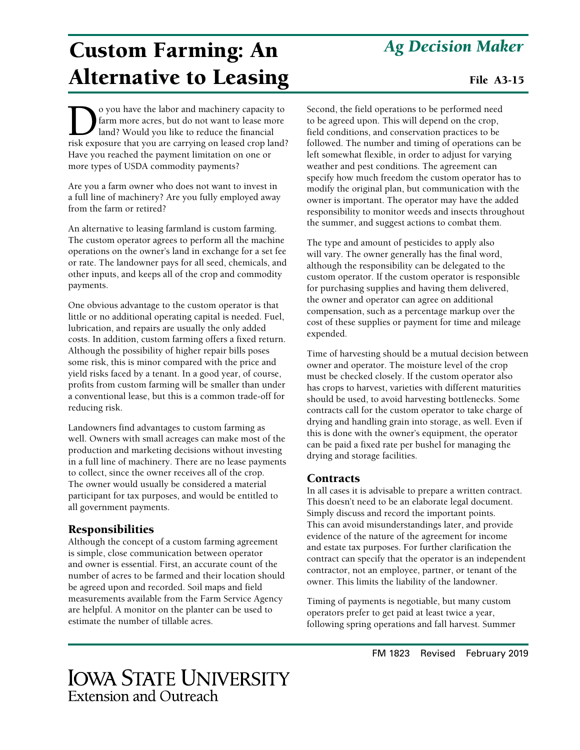# Custom Farming: An Alternative to Leasing

O you have the labor and machinery capacity to<br>farm more acres, but do not want to lease more<br>land? Would you like to reduce the financial<br>risk exposure that you are carrying on leased crop land? farm more acres, but do not want to lease more land? Would you like to reduce the financial risk exposure that you are carrying on leased crop land? Have you reached the payment limitation on one or more types of USDA commodity payments?

Are you a farm owner who does not want to invest in a full line of machinery? Are you fully employed away from the farm or retired?

An alternative to leasing farmland is custom farming. The custom operator agrees to perform all the machine operations on the owner's land in exchange for a set fee or rate. The landowner pays for all seed, chemicals, and other inputs, and keeps all of the crop and commodity payments.

One obvious advantage to the custom operator is that little or no additional operating capital is needed. Fuel, lubrication, and repairs are usually the only added costs. In addition, custom farming offers a fixed return. Although the possibility of higher repair bills poses some risk, this is minor compared with the price and yield risks faced by a tenant. In a good year, of course, profits from custom farming will be smaller than under a conventional lease, but this is a common trade-off for reducing risk.

Landowners find advantages to custom farming as well. Owners with small acreages can make most of the production and marketing decisions without investing in a full line of machinery. There are no lease payments to collect, since the owner receives all of the crop. The owner would usually be considered a material participant for tax purposes, and would be entitled to all government payments.

# Responsibilities

Although the concept of a custom farming agreement is simple, close communication between operator and owner is essential. First, an accurate count of the number of acres to be farmed and their location should be agreed upon and recorded. Soil maps and field measurements available from the Farm Service Agency are helpful. A monitor on the planter can be used to estimate the number of tillable acres.

# *Ag Decision Maker*

### File A3-15

Second, the field operations to be performed need to be agreed upon. This will depend on the crop, field conditions, and conservation practices to be followed. The number and timing of operations can be left somewhat flexible, in order to adjust for varying weather and pest conditions. The agreement can specify how much freedom the custom operator has to modify the original plan, but communication with the owner is important. The operator may have the added responsibility to monitor weeds and insects throughout the summer, and suggest actions to combat them.

The type and amount of pesticides to apply also will vary. The owner generally has the final word, although the responsibility can be delegated to the custom operator. If the custom operator is responsible for purchasing supplies and having them delivered, the owner and operator can agree on additional compensation, such as a percentage markup over the cost of these supplies or payment for time and mileage expended.

Time of harvesting should be a mutual decision between owner and operator. The moisture level of the crop must be checked closely. If the custom operator also has crops to harvest, varieties with different maturities should be used, to avoid harvesting bottlenecks. Some contracts call for the custom operator to take charge of drying and handling grain into storage, as well. Even if this is done with the owner's equipment, the operator can be paid a fixed rate per bushel for managing the drying and storage facilities.

### **Contracts**

In all cases it is advisable to prepare a written contract. This doesn't need to be an elaborate legal document. Simply discuss and record the important points. This can avoid misunderstandings later, and provide evidence of the nature of the agreement for income and estate tax purposes. For further clarification the contract can specify that the operator is an independent contractor, not an employee, partner, or tenant of the owner. This limits the liability of the landowner.

Timing of payments is negotiable, but many custom operators prefer to get paid at least twice a year, following spring operations and fall harvest. Summer

# **IOWA STATE UNIVERSITY Extension and Outreach**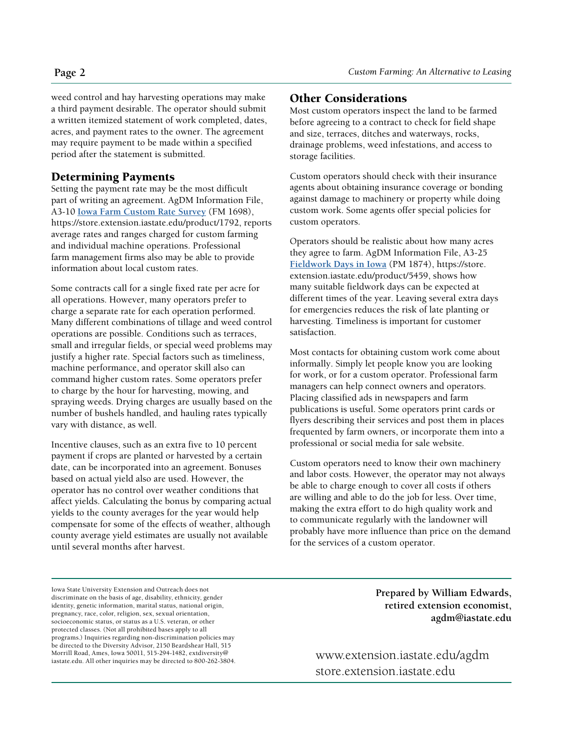weed control and hay harvesting operations may make a third payment desirable. The operator should submit a written itemized statement of work completed, dates, acres, and payment rates to the owner. The agreement may require payment to be made within a specified period after the statement is submitted.

### Determining Payments

Setting the payment rate may be the most difficult part of writing an agreement. AgDM Information File, A3-10 **[Iowa Farm Custom Rate Survey](https://store.extension.iastate.edu/Product/5459)** (FM 1698), https://store.extension.iastate.edu/product/1792, reports average rates and ranges charged for custom farming and individual machine operations. Professional farm management firms also may be able to provide information about local custom rates.

Some contracts call for a single fixed rate per acre for all operations. However, many operators prefer to charge a separate rate for each operation performed. Many different combinations of tillage and weed control operations are possible. Conditions such as terraces, small and irregular fields, or special weed problems may justify a higher rate. Special factors such as timeliness, machine performance, and operator skill also can command higher custom rates. Some operators prefer to charge by the hour for harvesting, mowing, and spraying weeds. Drying charges are usually based on the number of bushels handled, and hauling rates typically vary with distance, as well.

Incentive clauses, such as an extra five to 10 percent payment if crops are planted or harvested by a certain date, can be incorporated into an agreement. Bonuses based on actual yield also are used. However, the operator has no control over weather conditions that affect yields. Calculating the bonus by comparing actual yields to the county averages for the year would help compensate for some of the effects of weather, although county average yield estimates are usually not available until several months after harvest.

#### Other Considerations

Most custom operators inspect the land to be farmed before agreeing to a contract to check for field shape and size, terraces, ditches and waterways, rocks, drainage problems, weed infestations, and access to storage facilities.

Custom operators should check with their insurance agents about obtaining insurance coverage or bonding against damage to machinery or property while doing custom work. Some agents offer special policies for custom operators.

Operators should be realistic about how many acres they agree to farm. AgDM Information File, A3-25 **[Fieldwork Days in Iowa](https://store.extension.iastate.edu/product/5459)** (PM 1874), https://store. extension.iastate.edu/product/5459, shows how many suitable fieldwork days can be expected at different times of the year. Leaving several extra days for emergencies reduces the risk of late planting or harvesting. Timeliness is important for customer satisfaction.

Most contacts for obtaining custom work come about informally. Simply let people know you are looking for work, or for a custom operator. Professional farm managers can help connect owners and operators. Placing classified ads in newspapers and farm publications is useful. Some operators print cards or flyers describing their services and post them in places frequented by farm owners, or incorporate them into a professional or social media for sale website.

Custom operators need to know their own machinery and labor costs. However, the operator may not always be able to charge enough to cover all costs if others are willing and able to do the job for less. Over time, making the extra effort to do high quality work and to communicate regularly with the landowner will probably have more influence than price on the demand for the services of a custom operator.

Iowa State University Extension and Outreach does not discriminate on the basis of age, disability, ethnicity, gender identity, genetic information, marital status, national origin, pregnancy, race, color, religion, sex, sexual orientation, socioeconomic status, or status as a U.S. veteran, or other protected classes. (Not all prohibited bases apply to all programs.) Inquiries regarding non-discrimination policies may be directed to the Diversity Advisor, 2150 Beardshear Hall, 515 Morrill Road, Ames, Iowa 50011, 515-294-1482, extdiversity@ iastate.edu. All other inquiries may be directed to 800-262-3804.

**Prepared by William Edwards, retired extension economist, agdm@iastate.edu**

www.extension.iastate.edu/agdm store.extension.iastate.edu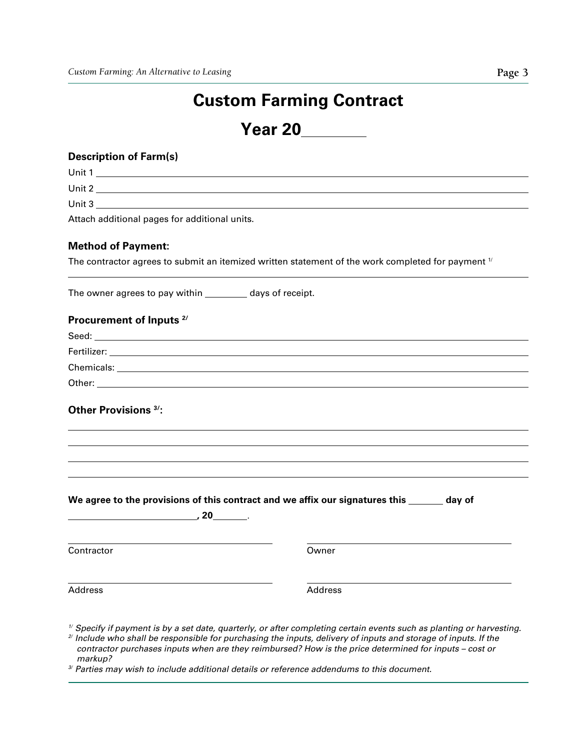# **Custom Farming Contract**

**Year 20**

### **Description of Farm(s)**

Unit 1

Unit 2

Unit 3

Attach additional pages for additional units.

#### **Method of Payment:**

The contractor agrees to submit an itemized written statement of the work completed for payment  $\mathcal{V}$ 

The owner agrees to pay within \_\_\_\_\_\_\_\_\_ days of receipt.

#### **Procurement of Inputs 2/**

| Seed:       |  |
|-------------|--|
| Fertilizer: |  |
| Chemicals:  |  |
| Other:      |  |

## **Other Provisions 3/:**

|            | We agree to the provisions of this contract and we affix our signatures this _______<br>day of |  |
|------------|------------------------------------------------------------------------------------------------|--|
|            | , 20 $\overline{\phantom{a} \phantom{a}}$                                                      |  |
| Contractor | Owner                                                                                          |  |
| Address    | <b>Address</b>                                                                                 |  |

*1/ Specify if payment is by a set date, quarterly, or after completing certain events such as planting or harvesting.* 

*2/ Include who shall be responsible for purchasing the inputs, delivery of inputs and storage of inputs. If the contractor purchases inputs when are they reimbursed? How is the price determined for inputs – cost or* 

*markup? 3/ Parties may wish to include additional details or reference addendums to this document.*